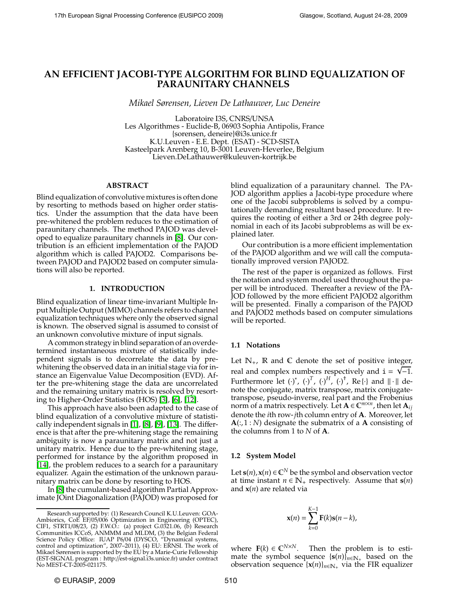# **AN EFFICIENT JACOBI-TYPE ALGORITHM FOR BLIND EQUALIZATION OF PARAUNITARY CHANNELS**

*Mikael Sørensen, Lieven De Lathauwer, Luc Deneire*

Laboratoire I3S, CNRS/UNSA Les Algorithmes - Euclide-B, 06903 Sophia Antipolis, France {sorensen, deneire}@i3s.unice.fr K.U.Leuven - E.E. Dept. (ESAT) - SCD-SISTA Kasteelpark Arenberg 10, B-3001 Leuven-Heverlee, Belgium Lieven.DeLathauwer@kuleuven-kortrijk.be

## **ABSTRACT**

Blind equalization of convolutive mixtures is often done by resorting to methods based on higher order statistics. Under the assumption that the data have been pre-whitened the problem reduces to the estimation of paraunitary channels. The method PAJOD was developed to equalize paraunitary channels in [\[8\]](#page-4-0). Our contribution is an efficient implementation of the PAJOD algorithm which is called PAJOD2. Comparisons between PAJOD and PAJOD2 based on computer simulations will also be reported.

### **1. INTRODUCTION**

Blind equalization of linear time-invariant Multiple Input Multiple Output (MIMO) channels refers to channel equalization techniques where only the observed signal is known. The observed signal is assumed to consist of an unknown convolutive mixture of input signals.

A common strategy in blind separation of an overdetermined instantaneous mixture of statistically independent signals is to decorrelate the data by prewhitening the observed data in an initial stage via for instance an Eigenvalue Value Decomposition (EVD). After the pre-whitening stage the data are uncorrelated and the remaining unitary matrix is resolved by resorting to Higher-Order Statistics (HOS) [\[3\]](#page-4-1), [\[6\]](#page-4-2), [\[12\]](#page-4-3).

This approach have also been adapted to the case of blind equalization of a convolutive mixture of statistically independent signals in [\[1\]](#page-4-4), [\[8\]](#page-4-0), [\[9\]](#page-4-5), [\[13\]](#page-4-6). The difference is that after the pre-whitening stage the remaining ambiguity is now a paraunitary matrix and not just a unitary matrix. Hence due to the pre-whitening stage, performed for instance by the algorithm proposed in [\[14\]](#page-4-7), the problem reduces to a search for a paraunitary equalizer. Again the estimation of the unknown paraunitary matrix can be done by resorting to HOS.

In [\[8\]](#page-4-0) the cumulant-based algorithm Partial Approximate JOint Diagonalization (PAJOD) was proposed for blind equalization of a paraunitary channel. The PA-JOD algorithm applies a Jacobi-type procedure where one of the Jacobi subproblems is solved by a computationally demanding resultant based procedure. It requires the rooting of either a 3rd or 24th degree polynomial in each of its Jacobi subproblems as will be explained later.

Our contribution is a more efficient implementation of the PAJOD algorithm and we will call the computationally improved version PAJOD2.

The rest of the paper is organized as follows. First the notation and system model used throughout the paper will be introduced. Thereafter a review of the PA-JOD followed by the more efficient PAJOD2 algorithm will be presented. Finally a comparison of the PAJOD and PAJOD2 methods based on computer simulations will be reported.

#### **1.1 Notations**

Let  $\mathbb{N}_+$ ,  $\mathbb R$  and  $\mathbb C$  denote the set of positive integer, real and complex numbers respectively and  $i = \sqrt{-1}$ . Furthermore let  $(\cdot)^{*}$ ,  $(\cdot)^{T}$ ,  $(\cdot)^{H}$ ,  $(\cdot)^{+}$ , Re $\{\cdot\}$  and  $\|\cdot\|$  denote the conjugate, matrix transpose, matrix conjugatetranspose, pseudo-inverse, real part and the Frobenius norm of a matrix respectively. Let  $\mathbf{A} \in \mathbb{C}^{m \times n}$ , then let  $\mathbf{A}_{ij}$ denote the *i*th row-*j*th column entry of **A**. Moreover, let **A**(:,1 : *N*) designate the submatrix of a **A** consisting of the columns from 1 to *N* of **A**.

### **1.2 System Model**

Let  $\mathbf{s}(n)$ ,  $\mathbf{x}(n) \in \mathbb{C}^N$  be the symbol and observation vector at time instant  $n \in \mathbb{N}_+$  respectively. Assume that  $s(n)$ and **x**(*n*) are related via

$$
\mathbf{x}(n) = \sum_{k=0}^{K-1} \mathbf{F}(k)\mathbf{s}(n-k),
$$

where  $\mathbf{F}(k) \in \mathbb{C}^{N \times N}$ . Then the problem is to estimate the symbol sequence  $\{s(n)\}_{n\in\mathbb{N}_+}$  based on the observation sequence  $\{x(n)\}_{n\in\mathbb{N}_+}$  via the FIR equalizer

Research supported by: (1) Research Council K.U.Leuven: GOA-Ambiorics, CoE EF/05/006 Optimization in Engineering (OPTEC), CIF1, STRT1/08/23, (2) F.W.O.: (a) project G.0321.06, (b) Research Communities ICCoS, ANMMM and MLDM, (3) the Belgian Federal Science Policy Office: IUAP P6/04 (DYSCO, "Dynamical systems, control and optimization", 2007–2011), (4) EU: ERNSI. The work of Mikael Sørensen is supported by the EU by a Marie-Curie Fellowship (EST-SIGNAL program : http://est-signal.i3s.unice.fr) under contract No MEST-CT-2005-021175.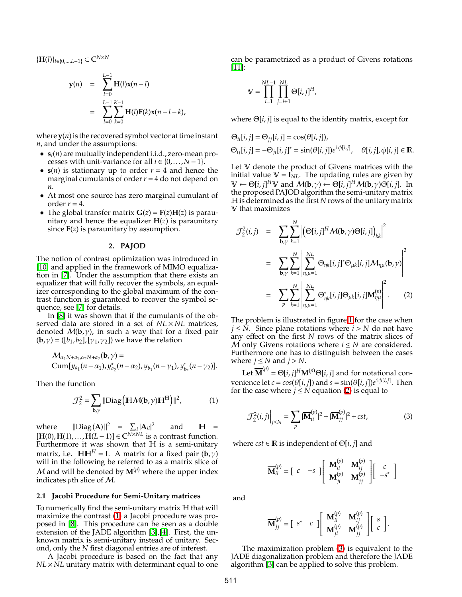{**H**(*l*)}*l*∈{0,...,*L*−1} <sup>⊂</sup> <sup>C</sup> *N*×*N*

$$
\mathbf{y}(n) = \sum_{l=0}^{L-1} \mathbf{H}(l)\mathbf{x}(n-l) \n= \sum_{l=0}^{L-1} \sum_{k=0}^{K-1} \mathbf{H}(l)\mathbf{F}(k)\mathbf{x}(n-l-k),
$$

where  $y(n)$  is the recovered symbol vector at time instant *n*, and under the assumptions:

- $\mathbf{s}_i(n)$  are mutually independent i.i.d., zero-mean processes with unit-variance for all  $i \in \{0, \ldots, N-1\}$ .
- $s(n)$  is stationary up to order  $r = 4$  and hence the marginal cumulants of order  $r = 4$  do not depend on *n*.
- At most one source has zero marginal cumulant of order  $r = 4$ .
- The global transfer matrix  $G(z) = F(z)H(z)$  is paraunitary and hence the equalizer  $H(z)$  is paraunitary since  $F(z)$  is paraunitary by assumption.

#### **2. PAJOD**

The notion of contrast optimization was introduced in [\[10\]](#page-4-8) and applied in the framework of MIMO equalization in [\[7\]](#page-4-9). Under the assumption that there exists an equalizer that will fully recover the symbols, an equalizer corresponding to the global maximum of the contrast function is guaranteed to recover the symbol sequence, see [\[7\]](#page-4-9) for details.

In [\[8\]](#page-4-0) it was shown that if the cumulants of the observed data are stored in a set of  $NL \times NL$  matrices, denoted  $M(b, \gamma)$ , in such a way that for a fixed pair  $(\mathbf{b}, \gamma) = (\begin{bmatrix} b_1, b_2 \end{bmatrix}, \begin{bmatrix} \gamma_1, \gamma_2 \end{bmatrix})$  we have the relation

$$
\mathcal{M}_{\alpha_1 N + a_1, \alpha_2 N + a_2}(\mathbf{b}, \gamma) =
$$
  
Cum[ $y_{a_1}$  $(n - \alpha_1)$ ,  $y_{a_2}^*$  $(n - \alpha_2)$ ,  $y_{b_1}$  $(n - \gamma_1)$ ,  $y_{b_2}^*$  $(n - \gamma_2)$ ].

<span id="page-1-0"></span>Then the function

$$
\mathcal{J}_2^2 = \sum_{\mathbf{b}, \gamma} ||\text{Diag}\left(\mathbb{H}\mathcal{M}(\mathbf{b}, \gamma)\mathbb{H}^{\mathbf{H}}\right)||^2, \tag{1}
$$

where  $\|\text{Diag}(A)\|^2 = \sum_{i} |A_{ii}|^2$  and  $H =$ [**H**(0),**H**(1),...,**H**(*L* − 1)] ∈  $\mathbb{C}^{N \times NL}$  is a contrast function. Furthermore it was shown that H is a semi-unitary matrix, i.e.  $H H^H = I$ . A matrix for a fixed pair  $(b, \gamma)$ will in the following be referred to as a matrix slice of M and will be denoted by  $M^{(p)}$  where the upper index indicates *p*th slice of M.

### **2.1 Jacobi Procedure for Semi-Unitary matrices**

To numerically find the semi-unitary matrix H that will maximize the contrast [\(1\)](#page-1-0) a Jacobi procedure was proposed in [\[8\]](#page-4-0). This procedure can be seen as a double extension of the JADE algorithm [\[3\]](#page-4-1),[\[4\]](#page-4-10). First, the unknown matrix is semi-unitary instead of unitary. Second, only the *N* first diagonal entries are of interest.

A Jacobi procedure is based on the fact that any *NL*×*NL* unitary matrix with determinant equal to one can be parametrized as a product of Givens rotations [\[11\]](#page-4-11):

$$
\mathbb{V} = \prod_{i=1}^{NL-1} \prod_{j=i+1}^{NL} \Theta[i,j]^H,
$$

where Θ[*i*, *j*] is equal to the identity matrix, except for

$$
\Theta_{ii}[i, j] = \Theta_{jj}[i, j] = \cos(\theta[i, j]),
$$
  
\n
$$
\Theta_{ij}[i, j] = -\Theta_{ji}[i, j]^* = \sin(\theta[i, j])e^{i\phi[i, j]}, \quad \theta[i, j], \phi[i, j] \in \mathbb{R}.
$$

Let V denote the product of Givens matrices with the initial value  $V = I_{NL}$ . The updating rules are given by  $\mathbb{V} \leftarrow \Theta[i, j]^H \mathbb{V}$  and  $\mathcal{M}(\mathbf{b}, \gamma) \leftarrow \Theta[i, j]^H \mathcal{M}(\mathbf{b}, \gamma) \Theta[i, j]$ . In the proposed PAJOD algorithm the semi-unitary matrix H is determined as the first *N* rows of the unitary matrix V that maximizes

<span id="page-1-1"></span>
$$
\mathcal{J}_{2}^{2}(i,j) = \sum_{\mathbf{b},\gamma} \sum_{k=1}^{N} \left| \left( \Theta[i,j]^{H} \mathcal{M}(\mathbf{b},\gamma) \Theta[i,j] \right)_{kk} \right|^{2}
$$

$$
= \sum_{\mathbf{b},\gamma} \sum_{k=1}^{N} \left| \sum_{\eta,\mu=1}^{NL} \Theta_{\eta k}[i,j]^{*} \Theta_{\mu k}[i,j] \mathcal{M}_{\eta\mu}(\mathbf{b},\gamma) \right|^{2}
$$

$$
= \sum_{p} \sum_{k=1}^{N} \left| \sum_{\eta,\mu=1}^{NL} \Theta_{\eta k}^{*}[i,j] \Theta_{\mu k}[i,j] \mathbf{M}_{\eta\mu}^{(p)} \right|^{2}.
$$
 (2)

The problem is illustrated in figure [1](#page-2-0) for the case when *j* ≤  $\overline{N}$ . Since plane rotations where *i* > *N* do not have any effect on the first *N* rows of the matrix slices of M only Givens rotations where  $i \leq N$  are considered. Furthermore one has to distinguish between the cases where  $j \leq N$  and  $j > N$ .

Let  $\overline{\mathbf{M}}^{(p)} = \Theta[i,j]^{H} \mathbf{M}^{(p)} \Theta[i,j]$  and for notational convenience let  $c = cos(\theta[i, j])$  and  $s = sin(\theta[i, j])e^{i\phi[i, j]}$ . Then for the case where  $j \leq N$  equation [\(2\)](#page-1-1) is equal to

$$
\mathcal{J}_2^2(i,j)\Big|_{j\leq N} = \sum_p |\overline{\mathbf{M}}_{ii}^{(p)}|^2 + |\overline{\mathbf{M}}_{jj}^{(p)}|^2 + cst,
$$
 (3)

where  $cst \in \mathbb{R}$  is independent of  $\Theta[i, j]$  and

<span id="page-1-2"></span>
$$
\overline{\mathbf{M}}_{ii}^{(p)} = \begin{bmatrix} c & -s \end{bmatrix} \begin{bmatrix} \mathbf{M}_{ii}^{(p)} & \mathbf{M}_{ij}^{(p)} \\ \mathbf{M}_{ji}^{(p)} & \mathbf{M}_{jj}^{(p)} \end{bmatrix} \begin{bmatrix} c \\ -s^* \end{bmatrix}
$$

and

$$
\overline{\mathbf{M}}_{jj}^{(p)} = \begin{bmatrix} s^* & c \end{bmatrix} \begin{bmatrix} \mathbf{M}_{ii}^{(p)} & \mathbf{M}_{ij}^{(p)} \\ \mathbf{M}_{ji}^{(p)} & \mathbf{M}_{jj}^{(p)} \end{bmatrix} \begin{bmatrix} s \\ c \end{bmatrix}.
$$

The maximization problem [\(3\)](#page-1-2) is equivalent to the JADE diagonalization problem and therefore the JADE algorithm [\[3\]](#page-4-1) can be applied to solve this problem.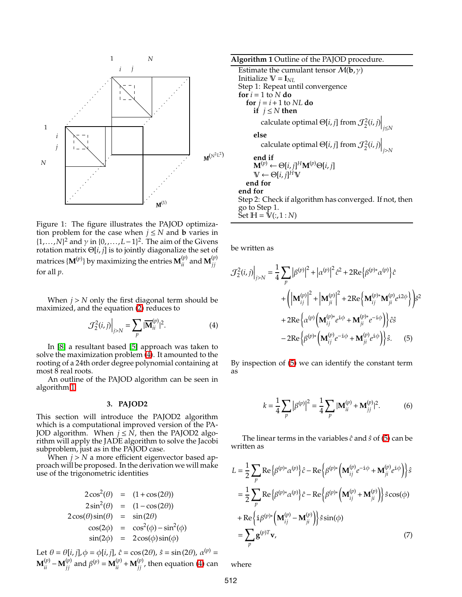

<span id="page-2-0"></span>Figure 1: The figure illustrates the PAJOD optimization problem for the case when  $j \leq N$  and **b** varies in  $\{1,\ldots,N\}^2$  and  $\gamma$  in  $\{0,\ldots,L-1\}^2$ . The aim of the Givens rotation matrix Θ[*i*, *j*] is to jointly diagonalize the set of matrices  $\{{\bf M}^{(p)}\}$  by maximizing the entries  ${\bf M}^{(p)}_{ii}$  and  ${\bf M}^{(p)}_{jj}$ *jj* for all *p*.

When  $j > N$  only the first diagonal term should be maximized, and the equation [\(2\)](#page-1-1) reduces to

<span id="page-2-1"></span>
$$
\mathcal{J}_2^2(i,j)\Big|_{j>N} = \sum_{p} |\overline{\mathbf{M}}_{ii}^{(p)}|^2. \tag{4}
$$

In [\[8\]](#page-4-0) a resultant based [\[5\]](#page-4-12) approach was taken to solve the maximization problem [\(4\)](#page-2-1). It amounted to the rooting of a 24th order degree polynomial containing at most 8 real roots.

An outline of the PAJOD algorithm can be seen in algorithm [1.](#page-2-2)

#### **3. PAJOD2**

This section will introduce the PAJOD2 algorithm which is a computational improved version of the PA-JOD algorithm. When  $j \leq N$ , then the PAJOD2 algorithm will apply the JADE algorithm to solve the Jacobi subproblem, just as in the PAJOD case.

When *j* > *N* a more efficient eigenvector based approach will be proposed. In the derivation we will make use of the trigonometric identities

$$
2\cos^{2}(\theta) = (1 + \cos(2\theta))
$$
  
\n
$$
2\sin^{2}(\theta) = (1 - \cos(2\theta))
$$
  
\n
$$
2\cos(\theta)\sin(\theta) = \sin(2\theta)
$$
  
\n
$$
\cos(2\phi) = \cos^{2}(\phi) - \sin^{2}(\phi)
$$
  
\n
$$
\sin(2\phi) = 2\cos(\phi)\sin(\phi)
$$

Let  $\theta = \theta[i, j], \phi = \phi[i, j], \hat{c} = \cos(2\theta), \hat{s} = \sin(2\theta), \alpha^{(p)} =$  $\mathbf{M}^{(p)}_{ii} - \mathbf{M}^{(p)}_{jj}$  and  $\beta^{(p)} = \mathbf{M}^{(p)}_{ii} + \mathbf{M}^{(p)}_{jj}$ , then equation [\(4\)](#page-2-1) can

<span id="page-2-2"></span>**Algorithm 1** Outline of the PAJOD procedure. Estimate the cumulant tensor  $M(b, \gamma)$ Initialize  $V = I_{NL}$ Step 1: Repeat until convergence **for**  $i = 1$  to  $N$  **do for**  $j = i + 1$  to *NL* **do if**  $j \leq N$  **then** calculate optimal  $\Theta[i,j]$  from  $\mathcal{J}_2^2(i,j)\Big|_{j\leq N}$ **else** calculate optimal  $\Theta[i, j]$  from  $\mathcal{J}_2^2(i, j)\Big|_{j>N}$ **end if**  $\mathbf{M}^{(p)} \leftarrow \Theta[i,j]^H \mathbf{M}^{(p)} \Theta[i,j]$  $\mathbb{V} \leftarrow \Theta[i, j]^{\hat{H}} \mathbb{V}$ **end for end for** Step 2: Check if algorithm has converged. If not, then go to Step 1.  $\text{Set } H = \hat{V}(:,1:N)$ 

be written as

$$
\mathcal{J}_{2}^{2}(i,j)\Big|_{j>N} = \frac{1}{4} \sum_{p} |\beta^{(p)}|^{2} + |\alpha^{(p)}|^{2} \hat{c}^{2} + 2 \text{Re}\{\beta^{(p)*}\alpha^{(p)}\}\hat{c}
$$

$$
+ \left( \left| \mathbf{M}_{ij}^{(p)} \right|^{2} + \left| \mathbf{M}_{ji}^{(p)} \right|^{2} + 2 \text{Re}\left\{ \mathbf{M}_{ij}^{(p)*} \mathbf{M}_{ji}^{(p)} e^{i2\phi} \right\} \right) \hat{s}^{2}
$$

$$
+ 2 \text{Re}\{\alpha^{(p)} \left( \mathbf{M}_{ij}^{(p)*} e^{i\phi} + \mathbf{M}_{ji}^{(p)*} e^{-i\phi} \right) \} \hat{c} \hat{s}
$$

$$
- 2 \text{Re}\{\beta^{(p)*} \left( \mathbf{M}_{ij}^{(p)} e^{-i\phi} + \mathbf{M}_{ji}^{(p)} e^{i\phi} \right) \} \hat{s}.
$$
(5)

By inspection of [\(5\)](#page-2-3) we can identify the constant term as

<span id="page-2-4"></span><span id="page-2-3"></span>
$$
k = \frac{1}{4} \sum_{p} |\beta^{(p)}|^2 = \frac{1}{4} \sum_{p} |\mathbf{M}_{ii}^{(p)} + \mathbf{M}_{jj}^{(p)}|^2.
$$
 (6)

The linear terms in the variables  $\hat{c}$  and  $\hat{s}$  of [\(5\)](#page-2-3) can be written as

$$
L = \frac{1}{2} \sum_{p} \text{Re} \{ \beta^{(p)*} \alpha^{(p)} \} \hat{c} - \text{Re} \{ \beta^{(p)*} \left( \mathbf{M}_{ij}^{(p)} e^{-i\phi} + \mathbf{M}_{ji}^{(p)} e^{i\phi} \right) \} \hat{s}
$$
  
\n
$$
= \frac{1}{2} \sum_{p} \text{Re} \{ \beta^{(p)*} \alpha^{(p)} \} \hat{c} - \text{Re} \{ \beta^{(p)*} \left( \mathbf{M}_{ij}^{(p)} + \mathbf{M}_{ji}^{(p)} \right) \} \hat{s} \cos(\phi)
$$
  
\n
$$
+ \text{Re} \{ i \beta^{(p)*} \left( \mathbf{M}_{ij}^{(p)} - \mathbf{M}_{ji}^{(p)} \right) \} \hat{s} \sin(\phi)
$$
  
\n
$$
= \sum_{p} \mathbf{g}^{(p)T} \mathbf{v},
$$
 (7)

<span id="page-2-5"></span>where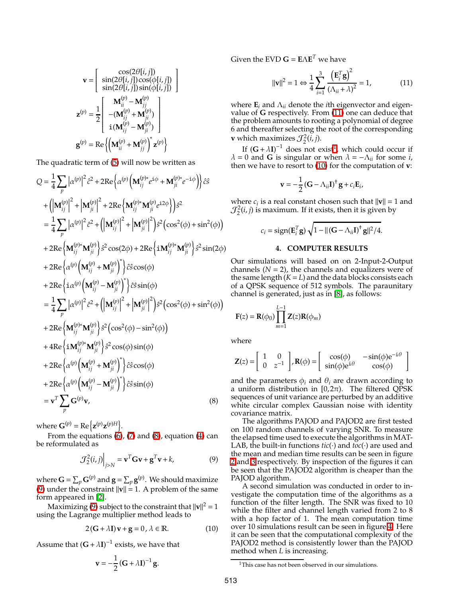$$
\mathbf{v} = \begin{bmatrix} \cos(2\theta[i,j]) \\ \sin(2\theta[i,j])\cos(\phi[i,j]) \\ \sin(2\theta[i,j])\sin(\phi[i,j]) \end{bmatrix}
$$

$$
\mathbf{z}^{(p)} = \frac{1}{2} \begin{bmatrix} \mathbf{M}_{ii}^{(p)} - \mathbf{M}_{jj}^{(p)} \\ -(\mathbf{M}_{ij}^{(p)} + \mathbf{M}_{ji}^{(p)}) \\ \mathbf{i}(\mathbf{M}_{ij}^{(p)} - \mathbf{M}_{ji}^{(p)}) \end{bmatrix}
$$

$$
\mathbf{g}^{(p)} = \text{Re}\left\{ \left( \mathbf{M}_{ii}^{(p)} + \mathbf{M}_{jj}^{(p)} \right)^{*} \mathbf{z}^{(p)} \right\}
$$

The quadratic term of [\(5\)](#page-2-3) will now be written as

$$
Q = \frac{1}{4} \sum_{p} |\alpha^{(p)}|^2 \hat{c}^2 + 2 \text{Re} {\alpha^{(p)} (\mathbf{M}_{ij}^{(p)*} e^{i\phi} + \mathbf{M}_{ji}^{(p)*} e^{-i\phi}) } \hat{c}^2
$$
  
+ 
$$
(|\mathbf{M}_{ij}^{(p)}|^2 + |\mathbf{M}_{ji}^{(p)}|^2 + 2 \text{Re} {\mathbf{M}_{ij}^{(p)*} \mathbf{M}_{ji}^{(p)}} e^{i2\phi} } \hat{c}^2
$$
  
= 
$$
\frac{1}{4} \sum_{p} |\alpha^{(p)}|^2 \hat{c}^2 + (|\mathbf{M}_{ij}^{(p)}|^2 + |\mathbf{M}_{ji}^{(p)}|^2) \hat{s}^2 (\cos^2(\phi) + \sin^2(\phi))
$$
  
+ 
$$
2 \text{Re} {\mathbf{M}_{ij}^{(p)*} \mathbf{M}_{ji}^{(p)}} \hat{s}^2 \cos(2\phi) + 2 \text{Re} {\mathbf{M}_{ij}^{(p)*} \mathbf{M}_{ji}^{(p)}} \hat{s}^2 \sin(2\phi)
$$
  
+ 
$$
2 \text{Re} {\alpha^{(p)} (\mathbf{M}_{ij}^{(p)} + \mathbf{M}_{ji}^{(p)})^2} \hat{c}^2 \cos(\phi)
$$
  
+ 
$$
2 \text{Re} {\mathbf{M}_{ij}^{(p)} (\mathbf{M}_{ij}^{(p)} - \mathbf{M}_{ji}^{(p)})^2} \hat{c}^2 \sin(\phi)
$$
  
= 
$$
\frac{1}{4} \sum_{p} |\alpha^{(p)}|^2 \hat{c}^2 + (|\mathbf{M}_{ij}^{(p)}|^2 + |\mathbf{M}_{ji}^{(p)}|^2) \hat{s}^2 (\cos^2(\phi) + \sin^2(\phi))
$$
  
+ 
$$
2 \text{Re} {\mathbf{M}_{ij}^{(p)*} \mathbf{M}_{ji}^{(p)}} \hat{s}^2 (\cos^2(\phi) - \sin^2(\phi))
$$
  
+ 
$$
4 \text{Re} {\mathbf{M}_{ij}^{(p)*} \mathbf{M}_{ji}^{(p)}} \hat{s}^2 \cos(\phi) \sin(\phi)
$$
  
+ 
$$
2 \text{Re} {\alpha^{(p)} (\mathbf{M}_{ij}^{(p)} + \mathbf{M}_{ji}^{(p)})^2
$$

where  $\mathbf{G}^{(p)} = \text{Re}\left\{\mathbf{z}^{(p)}\mathbf{z}^{(p)H}\right\}.$ 

From the equations  $(6)$ ,  $(7)$  and  $(8)$ , equation  $(4)$  can be reformulated as

<span id="page-3-1"></span>
$$
\mathcal{J}_2^2(i,j)\Big|_{j>N} = \mathbf{v}^T \mathbf{G} \mathbf{v} + \mathbf{g}^T \mathbf{v} + k,\tag{9}
$$

where  $\mathbf{G} = \sum_p \mathbf{G}^{(p)}$  and  $\mathbf{g} = \sum_p \mathbf{g}^{(p)}.$  We should maximize [\(9\)](#page-3-1) under the constraint  $\|\mathbf{v}\| = 1$ . A problem of the same form appeared in [\[2\]](#page-4-13).

Maximizing [\(9\)](#page-3-1) subject to the constraint that  $\|\mathbf{v}\|^2 = 1$ using the Lagrange multiplier method leads to

<span id="page-3-4"></span>
$$
2(G + \lambda I)v + g = 0, \lambda \in \mathbb{R}.
$$
 (10)

Assume that  $(G + \lambda I)^{-1}$  exists, we have that

$$
\mathbf{v} = -\frac{1}{2} \left( \mathbf{G} + \lambda \mathbf{I} \right)^{-1} \mathbf{g}.
$$

 $\mathbf{G}$ iven the EVD  $\mathbf{G} = \mathbf{E} \mathbf{\Lambda} \mathbf{E}^T$  we have

<span id="page-3-2"></span>
$$
\|\mathbf{v}\|^2 = 1 \Leftrightarrow \frac{1}{4} \sum_{i=1}^3 \frac{\left(\mathbf{E}_i^T \mathbf{g}\right)^2}{\left(\Lambda_{ii} + \lambda\right)^2} = 1,\tag{11}
$$

where  $\mathbf{E}_i$  and  $\Lambda_{ii}$  denote the *i*th eigenvector and eigenvalue of **G** respectively. From [\(11\)](#page-3-2) one can deduce that the problem amounts to rooting a polynomial of degree 6 and thereafter selecting the root of the corresponding **v** which maximizes  $\mathcal{J}_2^2(i,j)$ .

If  $(G + \lambda I)^{-1}$  $(G + \lambda I)^{-1}$  $(G + \lambda I)^{-1}$  does not exist<sup>1</sup>, which could occur if  $\lambda = 0$  and **G** is singular or when  $\lambda = -\Lambda_{ii}$  for some *i*, then we have to resort to [\(10\)](#page-3-4) for the computation of **v**:

$$
\mathbf{v} = -\frac{1}{2} \left( \mathbf{G} - \Lambda_{ii} \mathbf{I} \right)^{\dagger} \mathbf{g} + c_i \mathbf{E}_i,
$$

where  $c_i$  is a real constant chosen such that  $\|\mathbf{v}\| = 1$  and  $\mathcal{J}_2^2(i,j)$  is maximum. If it exists, then it is given by

$$
c_i = sign(\mathbf{E}_i^T \mathbf{g}) \sqrt{1 - ||(\mathbf{G} - \Lambda_{ii}\mathbf{I})^{\dagger} \mathbf{g}||^2 / 4}.
$$

### **4. COMPUTER RESULTS**

Our simulations will based on on 2-Input-2-Output channels  $(N = 2)$ , the channels and equalizers were of the same length  $(K = L)$  and the data blocks consists each of a QPSK sequence of 512 symbols. The paraunitary channel is generated, just as in [\[8\]](#page-4-0), as follows:

$$
\mathbf{F}(z) = \mathbf{R}(\phi_0) \prod_{m=1}^{L-1} \mathbf{Z}(z) \mathbf{R}(\phi_m)
$$

where

$$
\mathbf{Z}(z) = \begin{bmatrix} 1 & 0 \\ 0 & z^{-1} \end{bmatrix}, \mathbf{R}(\phi) = \begin{bmatrix} \cos(\phi) & -\sin(\phi)e^{-i\theta} \\ \sin(\phi)e^{i\theta} & \cos(\phi) \end{bmatrix}
$$

<span id="page-3-0"></span>and the parameters  $\phi_i$  and  $\theta_i$  are drawn according to a uniform distribution in [0,2 $\pi$ ). The filtered QPSK sequences of unit variance are perturbed by an additive white circular complex Gaussian noise with identity covariance matrix.

The algorithms PAJOD and PAJOD2 are first tested on 100 random channels of varying SNR. To measure the elapsed time used to execute the algorithms in MAT-LAB, the built-in functions  $\textit{tic}(\cdot)$  and  $\textit{toc}(\cdot)$  are used and the mean and median time results can be seen in figure [2](#page-4-14) and [3](#page-4-15) respectively. By inspection of the figures it can be seen that the PAJOD2 algorithm is cheaper than the PAJOD algorithm.

A second simulation was conducted in order to investigate the computation time of the algorithms as a function of the filter length. The SNR was fixed to 10 while the filter and channel length varied from 2 to 8 with a hop factor of 1. The mean computation time over 10 simulations result can be seen in figure [4.](#page-4-16) Here it can be seen that the computational complexity of the PAJOD2 method is consistently lower than the PAJOD method when *L* is increasing.

<span id="page-3-3"></span><sup>&</sup>lt;sup>1</sup>This case has not been observed in our simulations.